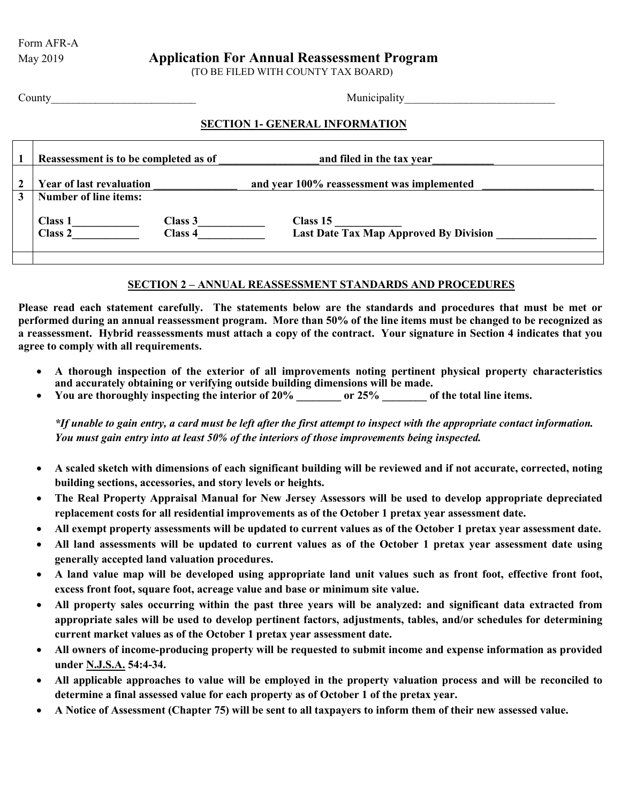Form AFR-A

# May 2019 **Application For Annual Reassessment Program**

(TO BE FILED WITH COUNTY TAX BOARD)

### County County and the county of the county of the county of the county of the county of the county of the county of the county of the county of the county of the county of the county of the county of the county of the coun

# **SECTION 1- GENERAL INFORMATION**

|   | Reassessment is to be completed as of |                           | and filed in the tax year                                 |
|---|---------------------------------------|---------------------------|-----------------------------------------------------------|
|   | <b>Year of last revaluation</b>       |                           | and year 100% reassessment was implemented                |
| 3 | <b>Number of line items:</b>          |                           |                                                           |
|   | <b>Class 1</b><br>Class 2             | Class 3<br><b>Class 4</b> | Class 15<br><b>Last Date Tax Map Approved By Division</b> |

## **SECTION 2 – ANNUAL REASSESSMENT STANDARDS AND PROCEDURES**

**Please read each statement carefully. The statements below are the standards and procedures that must be met or performed during an annual reassessment program. More than 50% of the line items must be changed to be recognized as a reassessment. Hybrid reassessments must attach a copy of the contract. Your signature in Section 4 indicates that you agree to comply with all requirements.**

- **A thorough inspection of the exterior of all improvements noting pertinent physical property characteristics and accurately obtaining or verifying outside building dimensions will be made.**
- **You are thoroughly inspecting the interior of 20% \_\_\_\_\_\_\_\_ or 25% \_\_\_\_\_\_\_\_ of the total line items.**

*\*If unable to gain entry, a card must be left after the first attempt to inspect with the appropriate contact information. You must gain entry into at least 50% of the interiors of those improvements being inspected.*

- **A scaled sketch with dimensions of each significant building will be reviewed and if not accurate, corrected, noting building sections, accessories, and story levels or heights.**
- **The Real Property Appraisal Manual for New Jersey Assessors will be used to develop appropriate depreciated replacement costs for all residential improvements as of the October 1 pretax year assessment date.**
- **All exempt property assessments will be updated to current values as of the October 1 pretax year assessment date.**
- **All land assessments will be updated to current values as of the October 1 pretax year assessment date using generally accepted land valuation procedures.**
- **A land value map will be developed using appropriate land unit values such as front foot, effective front foot, excess front foot, square foot, acreage value and base or minimum site value.**
- **All property sales occurring within the past three years will be analyzed: and significant data extracted from appropriate sales will be used to develop pertinent factors, adjustments, tables, and/or schedules for determining current market values as of the October 1 pretax year assessment date.**
- **All owners of income-producing property will be requested to submit income and expense information as provided under N.J.S.A. 54:4-34.**
- **All applicable approaches to value will be employed in the property valuation process and will be reconciled to determine a final assessed value for each property as of October 1 of the pretax year.**
- **A Notice of Assessment (Chapter 75) will be sent to all taxpayers to inform them of their new assessed value.**